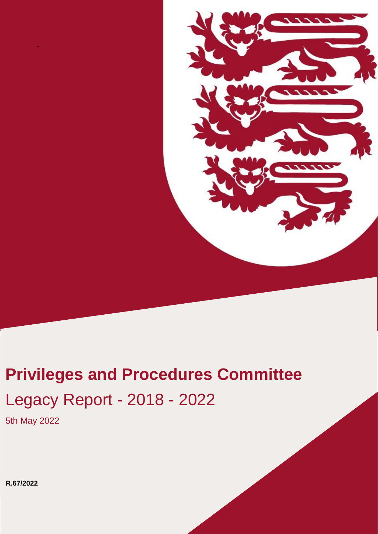

# **Retail in Property Company Privileges and Procedures Committee** Legacy Report - 2018 - 2022

5th May 2022

-

**R.67/2022**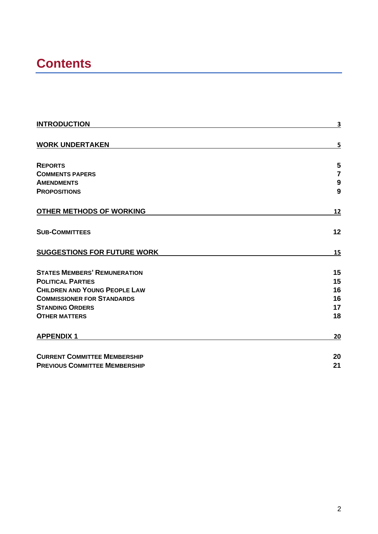# **Contents**

| <b>INTRODUCTION</b>                  | 3                |
|--------------------------------------|------------------|
|                                      |                  |
| <b>WORK UNDERTAKEN</b>               | 5                |
|                                      |                  |
| <b>REPORTS</b>                       | 5                |
| <b>COMMENTS PAPERS</b>               | $\overline{7}$   |
| <b>AMENDMENTS</b>                    | $\boldsymbol{9}$ |
| <b>PROPOSITIONS</b>                  | 9                |
| <b>OTHER METHODS OF WORKING</b>      | 12               |
| <b>SUB-COMMITTEES</b>                | 12               |
| <b>SUGGESTIONS FOR FUTURE WORK</b>   | 15               |
| <b>STATES MEMBERS' REMUNERATION</b>  | 15               |
| <b>POLITICAL PARTIES</b>             | 15               |
| <b>CHILDREN AND YOUNG PEOPLE LAW</b> | 16               |
| <b>COMMISSIONER FOR STANDARDS</b>    | 16               |
| <b>STANDING ORDERS</b>               | 17               |
| <b>OTHER MATTERS</b>                 | 18               |
| <b>APPENDIX 1</b>                    | 20               |
| <b>CURRENT COMMITTEE MEMBERSHIP</b>  | 20               |
| <b>PREVIOUS COMMITTEE MEMBERSHIP</b> | 21               |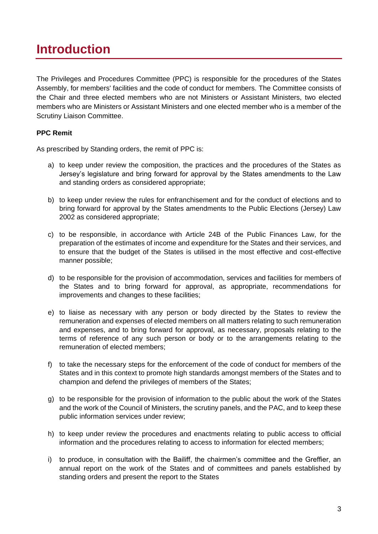## <span id="page-2-0"></span>**Introduction**

The Privileges and Procedures Committee (PPC) is responsible for the procedures of the States Assembly, for members' facilities and the code of conduct for members. The Committee consists of the Chair and three elected members who are not Ministers or Assistant Ministers, two elected members who are Ministers or Assistant Ministers and one elected member who is a member of the Scrutiny Liaison Committee.

#### **PPC Remit**

As prescribed by Standing orders, the remit of PPC is:

- a) to keep under review the composition, the practices and the procedures of the States as Jersey's legislature and bring forward for approval by the States amendments to the Law and standing orders as considered appropriate;
- b) to keep under review the rules for enfranchisement and for the conduct of elections and to bring forward for approval by the States amendments to the Public Elections (Jersey) Law 2002 as considered appropriate;
- c) to be responsible, in accordance with Article 24B of the Public Finances Law, for the preparation of the estimates of income and expenditure for the States and their services, and to ensure that the budget of the States is utilised in the most effective and cost-effective manner possible;
- d) to be responsible for the provision of accommodation, services and facilities for members of the States and to bring forward for approval, as appropriate, recommendations for improvements and changes to these facilities;
- e) to liaise as necessary with any person or body directed by the States to review the remuneration and expenses of elected members on all matters relating to such remuneration and expenses, and to bring forward for approval, as necessary, proposals relating to the terms of reference of any such person or body or to the arrangements relating to the remuneration of elected members;
- f) to take the necessary steps for the enforcement of the code of conduct for members of the States and in this context to promote high standards amongst members of the States and to champion and defend the privileges of members of the States;
- g) to be responsible for the provision of information to the public about the work of the States and the work of the Council of Ministers, the scrutiny panels, and the PAC, and to keep these public information services under review;
- h) to keep under review the procedures and enactments relating to public access to official information and the procedures relating to access to information for elected members;
- i) to produce, in consultation with the Bailiff, the chairmen's committee and the Greffier, an annual report on the work of the States and of committees and panels established by standing orders and present the report to the States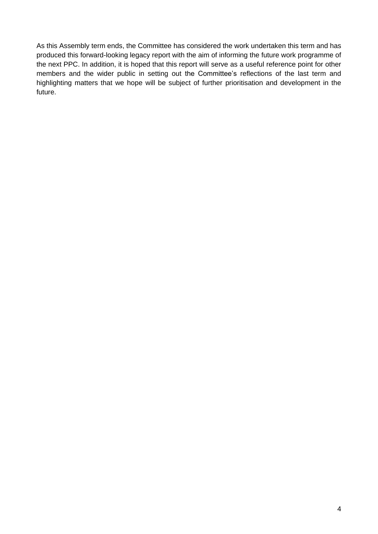As this Assembly term ends, the Committee has considered the work undertaken this term and has produced this forward-looking legacy report with the aim of informing the future work programme of the next PPC. In addition, it is hoped that this report will serve as a useful reference point for other members and the wider public in setting out the Committee's reflections of the last term and highlighting matters that we hope will be subject of further prioritisation and development in the future.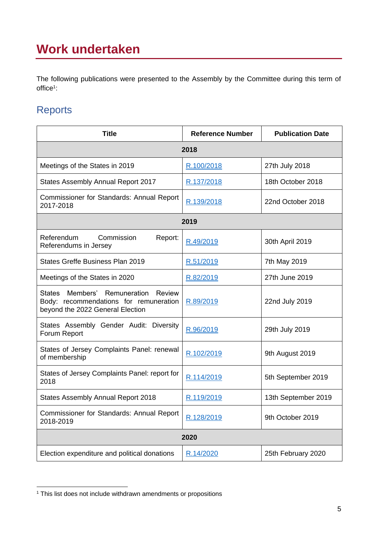# <span id="page-4-0"></span>**Work undertaken**

The following publications were presented to the Assembly by the Committee during this term of office<sup>1</sup>:

### <span id="page-4-1"></span>**Reports**

| <b>Title</b>                                                                                                      | <b>Reference Number</b> | <b>Publication Date</b> |
|-------------------------------------------------------------------------------------------------------------------|-------------------------|-------------------------|
|                                                                                                                   | 2018                    |                         |
| Meetings of the States in 2019                                                                                    | R.100/2018              | 27th July 2018          |
| <b>States Assembly Annual Report 2017</b>                                                                         | R.137/2018              | 18th October 2018       |
| Commissioner for Standards: Annual Report<br>2017-2018                                                            | R.139/2018              | 22nd October 2018       |
|                                                                                                                   | 2019                    |                         |
| Referendum<br>Commission<br>Report:<br>Referendums in Jersey                                                      | R.49/2019               | 30th April 2019         |
| States Greffe Business Plan 2019                                                                                  | R.51/2019               | 7th May 2019            |
| Meetings of the States in 2020                                                                                    | R.82/2019               | 27th June 2019          |
| States Members' Remuneration Review<br>Body: recommendations for remuneration<br>beyond the 2022 General Election | R.89/2019               | 22nd July 2019          |
| States Assembly Gender Audit: Diversity<br>Forum Report                                                           | R.96/2019               | 29th July 2019          |
| States of Jersey Complaints Panel: renewal<br>of membership                                                       | R.102/2019              | 9th August 2019         |
| States of Jersey Complaints Panel: report for<br>2018                                                             | R.114/2019              | 5th September 2019      |
| <b>States Assembly Annual Report 2018</b>                                                                         | R.119/2019              | 13th September 2019     |
| Commissioner for Standards: Annual Report<br>2018-2019                                                            | R.128/2019              | 9th October 2019        |
| 2020                                                                                                              |                         |                         |
| Election expenditure and political donations                                                                      | R.14/2020               | 25th February 2020      |

<sup>&</sup>lt;sup>1</sup> This list does not include withdrawn amendments or propositions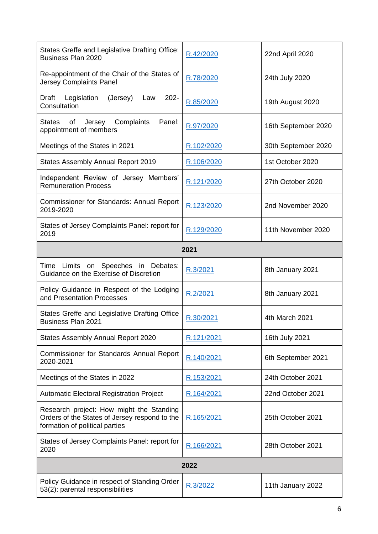| States Greffe and Legislative Drafting Office:<br><b>Business Plan 2020</b>                                                 | R.42/2020  | 22nd April 2020     |
|-----------------------------------------------------------------------------------------------------------------------------|------------|---------------------|
| Re-appointment of the Chair of the States of<br><b>Jersey Complaints Panel</b>                                              | R.78/2020  | 24th July 2020      |
| (Jersey)<br>$202 -$<br>Draft<br>Legislation<br>Law<br>Consultation                                                          | R.85/2020  | 19th August 2020    |
| Jersey Complaints<br>Panel:<br><b>States</b><br>of<br>appointment of members                                                | R.97/2020  | 16th September 2020 |
| Meetings of the States in 2021                                                                                              | R.102/2020 | 30th September 2020 |
| States Assembly Annual Report 2019                                                                                          | R.106/2020 | 1st October 2020    |
| Independent Review of Jersey Members'<br><b>Remuneration Process</b>                                                        | R.121/2020 | 27th October 2020   |
| Commissioner for Standards: Annual Report<br>2019-2020                                                                      | R.123/2020 | 2nd November 2020   |
| States of Jersey Complaints Panel: report for<br>2019                                                                       | R.129/2020 | 11th November 2020  |
|                                                                                                                             | 2021       |                     |
| Time Limits on Speeches in Debates:<br>Guidance on the Exercise of Discretion                                               | R.3/2021   | 8th January 2021    |
| Policy Guidance in Respect of the Lodging<br>and Presentation Processes                                                     | R.2/2021   | 8th January 2021    |
| States Greffe and Legislative Drafting Office<br><b>Business Plan 2021</b>                                                  | R.30/2021  | 4th March 2021      |
| States Assembly Annual Report 2020                                                                                          | R.121/2021 | 16th July 2021      |
| Commissioner for Standards Annual Report<br>2020-2021                                                                       | R.140/2021 | 6th September 2021  |
| Meetings of the States in 2022                                                                                              | R.153/2021 | 24th October 2021   |
| <b>Automatic Electoral Registration Project</b>                                                                             | R.164/2021 | 22nd October 2021   |
| Research project: How might the Standing<br>Orders of the States of Jersey respond to the<br>formation of political parties | R.165/2021 | 25th October 2021   |
| States of Jersey Complaints Panel: report for<br>2020                                                                       | R.166/2021 | 28th October 2021   |
| 2022                                                                                                                        |            |                     |
| Policy Guidance in respect of Standing Order<br>53(2): parental responsibilities                                            | R.3/2022   | 11th January 2022   |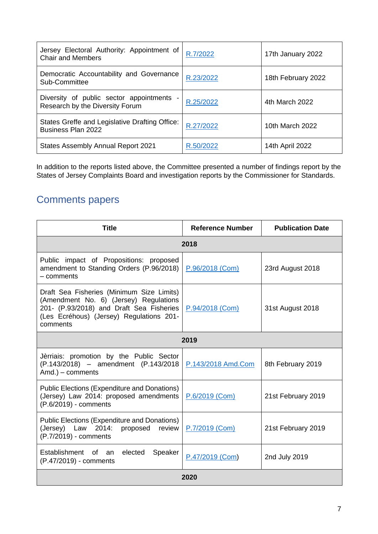| Jersey Electoral Authority: Appointment of<br><b>Chair and Members</b>       | R.7/2022  | 17th January 2022  |
|------------------------------------------------------------------------------|-----------|--------------------|
| Democratic Accountability and Governance<br>Sub-Committee                    | R.23/2022 | 18th February 2022 |
| Diversity of public sector appointments -<br>Research by the Diversity Forum | R.25/2022 | 4th March 2022     |
| States Greffe and Legislative Drafting Office:<br><b>Business Plan 2022</b>  | R.27/2022 | 10th March 2022    |
| <b>States Assembly Annual Report 2021</b>                                    | R.50/2022 | 14th April 2022    |

In addition to the reports listed above, the Committee presented a number of findings report by the States of Jersey Complaints Board and investigation reports by the Commissioner for Standards.

### <span id="page-6-0"></span>Comments papers

| <b>Title</b>                                                                                                                                                                            | <b>Reference Number</b> | <b>Publication Date</b> |
|-----------------------------------------------------------------------------------------------------------------------------------------------------------------------------------------|-------------------------|-------------------------|
|                                                                                                                                                                                         | 2018                    |                         |
| Public impact of Propositions: proposed<br>amendment to Standing Orders (P.96/2018)<br>- comments                                                                                       | P.96/2018 (Com)         | 23rd August 2018        |
| Draft Sea Fisheries (Minimum Size Limits)<br>(Amendment No. 6) (Jersey) Regulations<br>201- (P.93/2018) and Draft Sea Fisheries<br>(Les Ecréhous) (Jersey) Regulations 201-<br>comments | P.94/2018 (Com)         | 31st August 2018        |
| 2019                                                                                                                                                                                    |                         |                         |
| Jèrriais: promotion by the Public Sector<br>(P.143/2018) - amendment (P.143/2018)<br>Amd.) - comments                                                                                   | P.143/2018 Amd.Com      | 8th February 2019       |
| <b>Public Elections (Expenditure and Donations)</b><br>(Jersey) Law 2014: proposed amendments<br>(P.6/2019) - comments                                                                  | P.6/2019 (Com)          | 21st February 2019      |
| <b>Public Elections (Expenditure and Donations)</b><br>(Jersey) Law 2014: proposed review<br>(P.7/2019) - comments                                                                      | P.7/2019 (Com)          | 21st February 2019      |
| Establishment of an elected<br>Speaker<br>(P.47/2019) - comments                                                                                                                        | P.47/2019 (Com)         | 2nd July 2019           |
| 2020                                                                                                                                                                                    |                         |                         |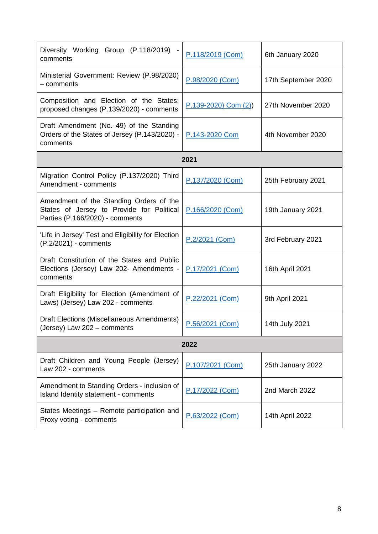| Diversity Working Group (P.118/2019) -<br>comments                                                                      | P.118/2019 (Com)       | 6th January 2020    |  |
|-------------------------------------------------------------------------------------------------------------------------|------------------------|---------------------|--|
| Ministerial Government: Review (P.98/2020)<br>$-$ comments                                                              | P.98/2020 (Com)        | 17th September 2020 |  |
| Composition and Election of the States:<br>proposed changes (P.139/2020) - comments                                     | $P.139-2020$ Com $(2)$ | 27th November 2020  |  |
| Draft Amendment (No. 49) of the Standing<br>Orders of the States of Jersey (P.143/2020) -<br>comments                   | P.143-2020 Com         | 4th November 2020   |  |
|                                                                                                                         | 2021                   |                     |  |
| Migration Control Policy (P.137/2020) Third<br>Amendment - comments                                                     | P.137/2020 (Com)       | 25th February 2021  |  |
| Amendment of the Standing Orders of the<br>States of Jersey to Provide for Political<br>Parties (P.166/2020) - comments | P.166/2020 (Com)       | 19th January 2021   |  |
| 'Life in Jersey' Test and Eligibility for Election<br>(P.2/2021) - comments                                             | P.2/2021 (Com)         | 3rd February 2021   |  |
| Draft Constitution of the States and Public<br>Elections (Jersey) Law 202- Amendments -<br>comments                     | P.17/2021 (Com)        | 16th April 2021     |  |
| Draft Eligibility for Election (Amendment of<br>Laws) (Jersey) Law 202 - comments                                       | P.22/2021 (Com)        | 9th April 2021      |  |
| Draft Elections (Miscellaneous Amendments)<br>(Jersey) Law 202 – comments                                               | P.56/2021 (Com)        | 14th July 2021      |  |
| 2022                                                                                                                    |                        |                     |  |
| Draft Children and Young People (Jersey)<br>Law 202 - comments                                                          | P.107/2021 (Com)       | 25th January 2022   |  |
| Amendment to Standing Orders - inclusion of<br>Island Identity statement - comments                                     | P.17/2022 (Com)        | 2nd March 2022      |  |
| States Meetings - Remote participation and<br>Proxy voting - comments                                                   | P.63/2022 (Com)        | 14th April 2022     |  |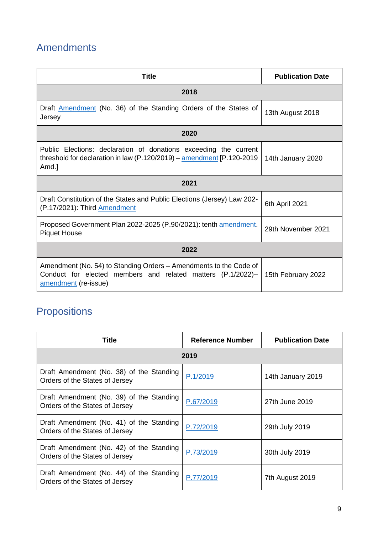### <span id="page-8-0"></span>Amendments

| <b>Title</b>                                                                                                                                                     | <b>Publication Date</b> |  |
|------------------------------------------------------------------------------------------------------------------------------------------------------------------|-------------------------|--|
| 2018                                                                                                                                                             |                         |  |
| Draft <b>Amendment</b> (No. 36) of the Standing Orders of the States of<br>Jersey                                                                                | 13th August 2018        |  |
| 2020                                                                                                                                                             |                         |  |
| Public Elections: declaration of donations exceeding the current<br>threshold for declaration in law (P.120/2019) – $\frac{1}{2}$ amendment [P.120-2019<br>Amd.] | 14th January 2020       |  |
| 2021                                                                                                                                                             |                         |  |
| Draft Constitution of the States and Public Elections (Jersey) Law 202-<br>(P.17/2021): Third Amendment                                                          | 6th April 2021          |  |
| Proposed Government Plan 2022-2025 (P.90/2021): tenth amendment.<br><b>Piquet House</b>                                                                          | 29th November 2021      |  |
| 2022                                                                                                                                                             |                         |  |
| Amendment (No. 54) to Standing Orders – Amendments to the Code of<br>Conduct for elected members and related matters (P.1/2022)-<br>amendment (re-issue)         | 15th February 2022      |  |

## <span id="page-8-1"></span>**Propositions**

| Title                                                                      | <b>Reference Number</b> | <b>Publication Date</b> |
|----------------------------------------------------------------------------|-------------------------|-------------------------|
| 2019                                                                       |                         |                         |
| Draft Amendment (No. 38) of the Standing<br>Orders of the States of Jersey | P.1/2019                | 14th January 2019       |
| Draft Amendment (No. 39) of the Standing<br>Orders of the States of Jersey | P.67/2019               | 27th June 2019          |
| Draft Amendment (No. 41) of the Standing<br>Orders of the States of Jersey | P.72/2019               | 29th July 2019          |
| Draft Amendment (No. 42) of the Standing<br>Orders of the States of Jersey | P.73/2019               | 30th July 2019          |
| Draft Amendment (No. 44) of the Standing<br>Orders of the States of Jersey | P.77/2019               | 7th August 2019         |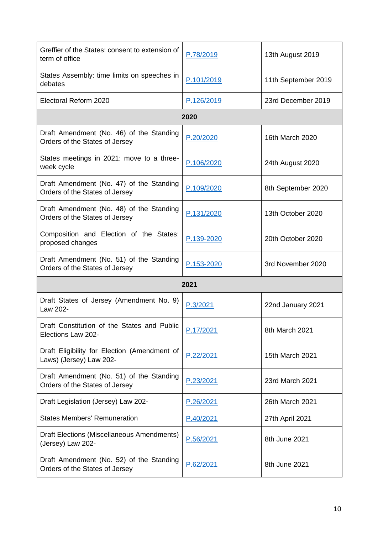| Greffier of the States: consent to extension of<br>term of office          | P.78/2019  | 13th August 2019    |
|----------------------------------------------------------------------------|------------|---------------------|
| States Assembly: time limits on speeches in<br>debates                     | P.101/2019 | 11th September 2019 |
| Electoral Reform 2020                                                      | P.126/2019 | 23rd December 2019  |
|                                                                            | 2020       |                     |
| Draft Amendment (No. 46) of the Standing<br>Orders of the States of Jersey | P.20/2020  | 16th March 2020     |
| States meetings in 2021: move to a three-<br>week cycle                    | P.106/2020 | 24th August 2020    |
| Draft Amendment (No. 47) of the Standing<br>Orders of the States of Jersey | P.109/2020 | 8th September 2020  |
| Draft Amendment (No. 48) of the Standing<br>Orders of the States of Jersey | P.131/2020 | 13th October 2020   |
| Composition and Election of the States:<br>proposed changes                | P.139-2020 | 20th October 2020   |
| Draft Amendment (No. 51) of the Standing<br>Orders of the States of Jersey | P.153-2020 | 3rd November 2020   |
|                                                                            | 2021       |                     |
| Draft States of Jersey (Amendment No. 9)<br>Law 202-                       | P.3/2021   | 22nd January 2021   |
| Draft Constitution of the States and Public<br>Elections Law 202-          | P.17/2021  | 8th March 2021      |
| Draft Eligibility for Election (Amendment of<br>Laws) (Jersey) Law 202-    | P.22/2021  | 15th March 2021     |
| Draft Amendment (No. 51) of the Standing<br>Orders of the States of Jersey | P.23/2021  | 23rd March 2021     |
| Draft Legislation (Jersey) Law 202-                                        | P.26/2021  | 26th March 2021     |
| <b>States Members' Remuneration</b>                                        | P.40/2021  | 27th April 2021     |
| Draft Elections (Miscellaneous Amendments)<br>(Jersey) Law 202-            | P.56/2021  | 8th June 2021       |
| Draft Amendment (No. 52) of the Standing<br>Orders of the States of Jersey | P.62/2021  | 8th June 2021       |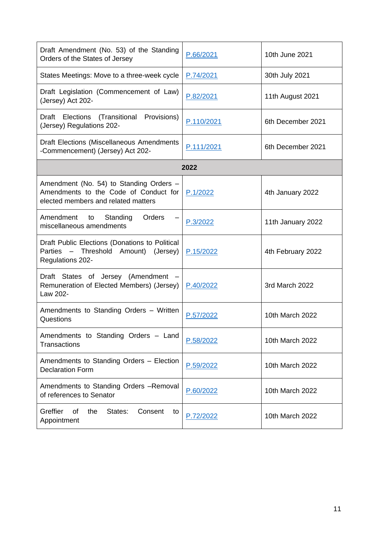| Draft Amendment (No. 53) of the Standing<br>Orders of the States of Jersey                                              | P.66/2021  | 10th June 2021    |
|-------------------------------------------------------------------------------------------------------------------------|------------|-------------------|
| States Meetings: Move to a three-week cycle                                                                             | P.74/2021  | 30th July 2021    |
| Draft Legislation (Commencement of Law)<br>(Jersey) Act 202-                                                            | P.82/2021  | 11th August 2021  |
| Draft Elections<br>(Transitional<br>Provisions)<br>(Jersey) Regulations 202-                                            | P.110/2021 | 6th December 2021 |
| Draft Elections (Miscellaneous Amendments<br>-Commencement) (Jersey) Act 202-                                           | P.111/2021 | 6th December 2021 |
|                                                                                                                         | 2022       |                   |
| Amendment (No. 54) to Standing Orders -<br>Amendments to the Code of Conduct for<br>elected members and related matters | P.1/2022   | 4th January 2022  |
| Orders<br>Amendment<br>Standing<br>to<br>miscellaneous amendments                                                       | P.3/2022   | 11th January 2022 |
| Draft Public Elections (Donations to Political<br>Threshold Amount)<br>Parties -<br>(Jersey)<br>Regulations 202-        | P.15/2022  | 4th February 2022 |
| Draft States of Jersey (Amendment<br>Remuneration of Elected Members) (Jersey)<br>Law 202-                              | P.40/2022  | 3rd March 2022    |
| Amendments to Standing Orders - Written<br>Questions                                                                    | P.57/2022  | 10th March 2022   |
| Amendments to Standing Orders - Land<br><b>Transactions</b>                                                             | P.58/2022  | 10th March 2022   |
| Amendments to Standing Orders - Election<br><b>Declaration Form</b>                                                     | P.59/2022  | 10th March 2022   |
| Amendments to Standing Orders -Removal<br>of references to Senator                                                      | P.60/2022  | 10th March 2022   |
| Greffier<br>0f<br>the<br>States:<br>Consent<br>to<br>Appointment                                                        | P.72/2022  | 10th March 2022   |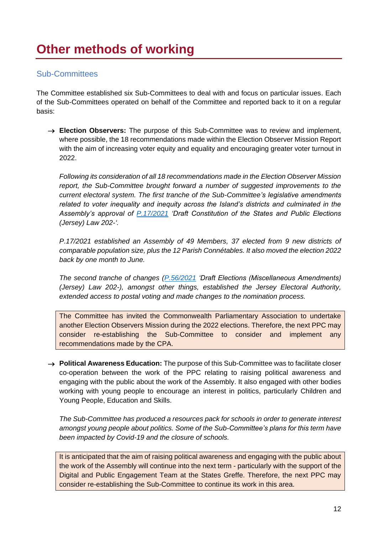#### <span id="page-11-1"></span><span id="page-11-0"></span>Sub-Committees

The Committee established six Sub-Committees to deal with and focus on particular issues. Each of the Sub-Committees operated on behalf of the Committee and reported back to it on a regular basis:

→ **Election Observers:** The purpose of this Sub-Committee was to review and implement, where possible, the 18 recommendations made within the Election Observer Mission Report with the aim of increasing voter equity and equality and encouraging greater voter turnout in 2022.

*Following its consideration of all 18 recommendations made in the Election Observer Mission report, the Sub-Committee brought forward a number of suggested improvements to the current electoral system. The first tranche of the Sub-Committee's legislative amendments related to voter inequality and inequity across the Island's districts and culminated in the Assembly's approval of [P.17/2021](https://statesassembly.gov.je/Pages/Propositions.aspx?ref=P.17/2021&refurl=%2fPages%2fPropositions.aspx%3fdocumentref%3dP.17%2f2021) 'Draft Constitution of the States and Public Elections (Jersey) Law 202-'.*

*P.17/2021 established an Assembly of 49 Members, 37 elected from 9 new districts of comparable population size, plus the 12 Parish Connétables. It also moved the election 2022 back by one month to June.*

*The second tranche of changes [\(P.56/2021](https://statesassembly.gov.je/assemblypropositions/2021/p.56-2021.pdf) 'Draft Elections (Miscellaneous Amendments) (Jersey) Law 202-), amongst other things, established the Jersey Electoral Authority, extended access to postal voting and made changes to the nomination process.*

The Committee has invited the Commonwealth Parliamentary Association to undertake another Election Observers Mission during the 2022 elections. Therefore, the next PPC may consider re-establishing the Sub-Committee to consider and implement any recommendations made by the CPA.

→ **Political Awareness Education:** The purpose of this Sub-Committee was to facilitate closer co-operation between the work of the PPC relating to raising political awareness and engaging with the public about the work of the Assembly. It also engaged with other bodies working with young people to encourage an interest in politics, particularly Children and Young People, Education and Skills.

*The Sub-Committee has produced a resources pack for schools in order to generate interest amongst young people about politics. Some of the Sub-Committee's plans for this term have been impacted by Covid-19 and the closure of schools.*

It is anticipated that the aim of raising political awareness and engaging with the public about the work of the Assembly will continue into the next term - particularly with the support of the Digital and Public Engagement Team at the States Greffe. Therefore, the next PPC may consider re-establishing the Sub-Committee to continue its work in this area.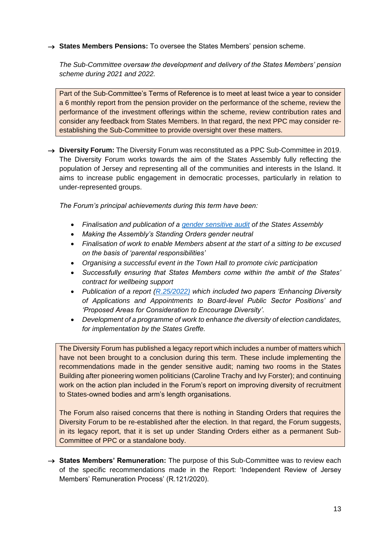→ **States Members Pensions:** To oversee the States Members' pension scheme.

*The Sub-Committee oversaw the development and delivery of the States Members' pension scheme during 2021 and 2022.*

Part of the Sub-Committee's Terms of Reference is to meet at least twice a year to consider a 6 monthly report from the pension provider on the performance of the scheme, review the performance of the investment offerings within the scheme, review contribution rates and consider any feedback from States Members. In that regard, the next PPC may consider reestablishing the Sub-Committee to provide oversight over these matters.

→ **Diversity Forum:** The Diversity Forum was reconstituted as a PPC Sub-Committee in 2019. The Diversity Forum works towards the aim of the States Assembly fully reflecting the population of Jersey and representing all of the communities and interests in the Island. It aims to increase public engagement in democratic processes, particularly in relation to under-represented groups.

*The Forum's principal achievements during this term have been:*

- *Finalisation and publication of a [gender sensitive audit](https://statesassembly.gov.je/assemblyreports/2019/r.96-2019(re-issue).pdf) of the States Assembly*
- *Making the Assembly's Standing Orders gender neutral*
- *Finalisation of work to enable Members absent at the start of a sitting to be excused on the basis of 'parental responsibilities'*
- *Organising a successful event in the Town Hall to promote civic participation*
- *Successfully ensuring that States Members come within the ambit of the States' contract for wellbeing support*
- *Publication of a report [\(R.25/2022\)](https://statesassembly.gov.je/assemblyreports/2022/r.25-2022.pdf) which included two papers 'Enhancing Diversity of Applications and Appointments to Board-level Public Sector Positions' and 'Proposed Areas for Consideration to Encourage Diversity'.*
- *Development of a programme of work to enhance the diversity of election candidates, for implementation by the States Greffe.*

The Diversity Forum has published a legacy report which includes a number of matters which have not been brought to a conclusion during this term. These include implementing the recommendations made in the gender sensitive audit; naming two rooms in the States Building after pioneering women politicians (Caroline Trachy and Ivy Forster); and continuing work on the action plan included in the Forum's report on improving diversity of recruitment to States-owned bodies and arm's length organisations.

The Forum also raised concerns that there is nothing in Standing Orders that requires the Diversity Forum to be re-established after the election. In that regard, the Forum suggests, in its legacy report, that it is set up under Standing Orders either as a permanent Sub-Committee of PPC or a standalone body.

→ **States Members' Remuneration:** The purpose of this Sub-Committee was to review each of the specific recommendations made in the Report: 'Independent Review of Jersey Members' Remuneration Process' (R.121/2020).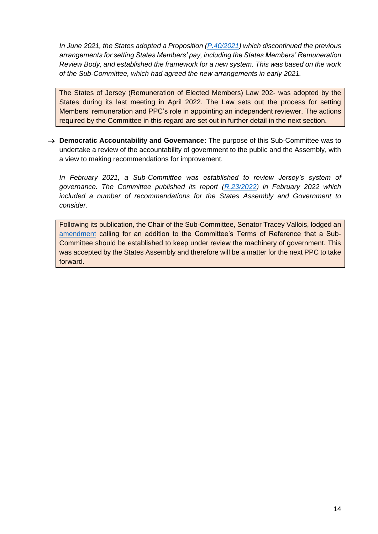*In June 2021, the States adopted a Proposition [\(P.40/2021\)](https://statesassembly.gov.je/Pages/Propositions.aspx?ref=P.40/2021&refurl=%2fPages%2fPropositions.aspx%3fdocumentref%3dP.40%2f2021) which discontinued the previous arrangements for setting States Members' pay, including the States Members' Remuneration Review Body, and established the framework for a new system. This was based on the work of the Sub-Committee, which had agreed the new arrangements in early 2021.*

The States of Jersey (Remuneration of Elected Members) Law 202- was adopted by the States during its last meeting in April 2022. The Law sets out the process for setting Members' remuneration and PPC's role in appointing an independent reviewer. The actions required by the Committee in this regard are set out in further detail in the next section.

→ **Democratic Accountability and Governance:** The purpose of this Sub-Committee was to undertake a review of the accountability of government to the public and the Assembly, with a view to making recommendations for improvement.

*In February 2021, a Sub-Committee was established to review Jersey's system of governance. The Committee published its report [\(R.23/2022\)](https://statesassembly.gov.je/assemblyreports/2022/r.23-2022.pdf) in February 2022 which included a number of recommendations for the States Assembly and Government to consider.* 

Following its publication, the Chair of the Sub-Committee, Senator Tracey Vallois, lodged an [amendment](https://statesassembly.gov.je/assemblypropositions/2022/p.64-2022.pdf) calling for an addition to the Committee's Terms of Reference that a Sub-Committee should be established to keep under review the machinery of government. This was accepted by the States Assembly and therefore will be a matter for the next PPC to take forward.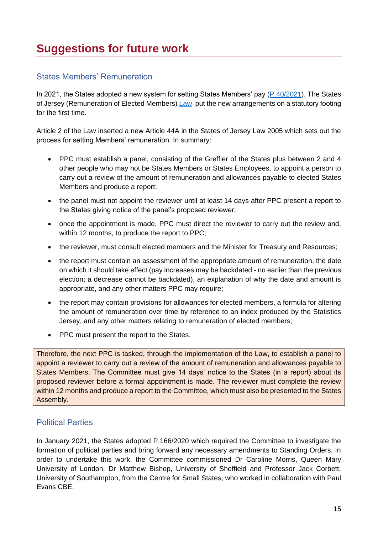#### <span id="page-14-1"></span><span id="page-14-0"></span>States Members' Remuneration

In 2021, the States adopted a new system for setting States Members' pay [\(P.40/2021\)](https://statesassembly.gov.je/Pages/Propositions.aspx?ref=P.40/2021&refurl=%2fPages%2fPropositions.aspx%3fdocumentref%3dP.40%2f2021). The States of Jersey (Remuneration of Elected Members) [Law](https://statesassembly.gov.je/assemblypropositions/2022/p.40-2022.pdf) put the new arrangements on a statutory footing for the first time.

Article 2 of the Law inserted a new Article 44A in the States of Jersey Law 2005 which sets out the process for setting Members' remuneration. In summary:

- PPC must establish a panel, consisting of the Greffier of the States plus between 2 and 4 other people who may not be States Members or States Employees, to appoint a person to carry out a review of the amount of remuneration and allowances payable to elected States Members and produce a report;
- the panel must not appoint the reviewer until at least 14 days after PPC present a report to the States giving notice of the panel's proposed reviewer;
- once the appointment is made, PPC must direct the reviewer to carry out the review and, within 12 months, to produce the report to PPC;
- the reviewer, must consult elected members and the Minister for Treasury and Resources;
- the report must contain an assessment of the appropriate amount of remuneration, the date on which it should take effect (pay increases may be backdated - no earlier than the previous election; a decrease cannot be backdated), an explanation of why the date and amount is appropriate, and any other matters PPC may require;
- the report may contain provisions for allowances for elected members, a formula for altering the amount of remuneration over time by reference to an index produced by the Statistics Jersey, and any other matters relating to remuneration of elected members;
- PPC must present the report to the States.

Therefore, the next PPC is tasked, through the implementation of the Law, to establish a panel to appoint a reviewer to carry out a review of the amount of remuneration and allowances payable to States Members. The Committee must give 14 days' notice to the States (in a report) about its proposed reviewer before a formal appointment is made. The reviewer must complete the review within 12 months and produce a report to the Committee, which must also be presented to the States Assembly.

#### <span id="page-14-2"></span>Political Parties

In January 2021, the States adopted P.166/2020 which required the Committee to investigate the formation of political parties and bring forward any necessary amendments to Standing Orders. In order to undertake this work, the Committee commissioned Dr Caroline Morris, Queen Mary University of London, Dr Matthew Bishop, University of Sheffield and Professor Jack Corbett, University of Southampton, from the Centre for Small States, who worked in collaboration with Paul Evans CBE.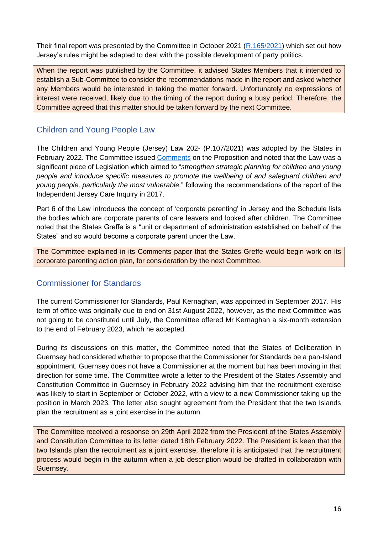Their final report was presented by the Committee in October 2021 [\(R.165/2021\)](https://statesassembly.gov.je/assemblyreports/2021/r.165-2021.pdf) which set out how Jersey's rules might be adapted to deal with the possible development of party politics.

When the report was published by the Committee, it advised States Members that it intended to establish a Sub-Committee to consider the recommendations made in the report and asked whether any Members would be interested in taking the matter forward. Unfortunately no expressions of interest were received, likely due to the timing of the report during a busy period. Therefore, the Committee agreed that this matter should be taken forward by the next Committee.

### <span id="page-15-0"></span>Children and Young People Law

The Children and Young People (Jersey) Law 202- (P.107/2021) was adopted by the States in February 2022. The Committee issued [Comments](https://statesassembly.gov.je/assemblypropositions/2021/p.107-2021%20com.pdf) on the Proposition and noted that the Law was a significant piece of Legislation which aimed to "*strengthen strategic planning for children and young people and introduce specific measures to promote the wellbeing of and safeguard children and young people, particularly the most vulnerable,*" following the recommendations of the report of the Independent Jersey Care Inquiry in 2017.

Part 6 of the Law introduces the concept of 'corporate parenting' in Jersey and the Schedule lists the bodies which are corporate parents of care leavers and looked after children. The Committee noted that the States Greffe is a "unit or department of administration established on behalf of the States" and so would become a corporate parent under the Law.

The Committee explained in its Comments paper that the States Greffe would begin work on its corporate parenting action plan, for consideration by the next Committee.

### <span id="page-15-1"></span>Commissioner for Standards

The current Commissioner for Standards, Paul Kernaghan, was appointed in September 2017. His term of office was originally due to end on 31st August 2022, however, as the next Committee was not going to be constituted until July, the Committee offered Mr Kernaghan a six-month extension to the end of February 2023, which he accepted.

During its discussions on this matter, the Committee noted that the States of Deliberation in Guernsey had considered whether to propose that the Commissioner for Standards be a pan-Island appointment. Guernsey does not have a Commissioner at the moment but has been moving in that direction for some time. The Committee wrote a letter to the President of the States Assembly and Constitution Committee in Guernsey in February 2022 advising him that the recruitment exercise was likely to start in September or October 2022, with a view to a new Commissioner taking up the position in March 2023. The letter also sought agreement from the President that the two Islands plan the recruitment as a joint exercise in the autumn.

The Committee received a response on 29th April 2022 from the President of the States Assembly and Constitution Committee to its letter dated 18th February 2022. The President is keen that the two Islands plan the recruitment as a joint exercise, therefore it is anticipated that the recruitment process would begin in the autumn when a job description would be drafted in collaboration with Guernsey.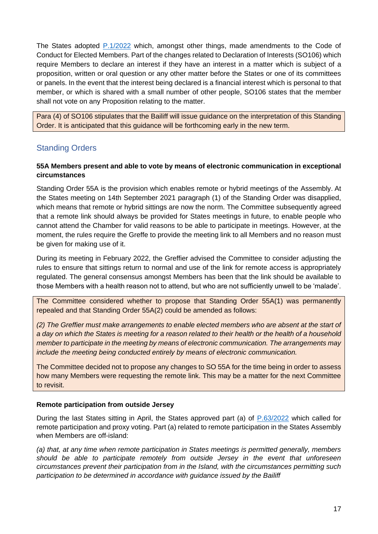The States adopted [P.1/2022](https://statesassembly.gov.je/Pages/Propositions.aspx?ref=P.1/2022&refurl=%2fPages%2fPropositions.aspx%3fNavigator1%3dSADepartment%26Modifier1%3d%22%c7%82%c7%8250726976696c6567657320616e642050726f6365647572657320436f6d6d6974746565%22) which, amongst other things, made amendments to the Code of Conduct for Elected Members. Part of the changes related to Declaration of Interests (SO106) which require Members to declare an interest if they have an interest in a matter which is subject of a proposition, written or oral question or any other matter before the States or one of its committees or panels. In the event that the interest being declared is a financial interest which is personal to that member, or which is shared with a small number of other people, SO106 states that the member shall not vote on any Proposition relating to the matter.

Para (4) of SO106 stipulates that the Bailiff will issue guidance on the interpretation of this Standing Order. It is anticipated that this guidance will be forthcoming early in the new term.

### <span id="page-16-0"></span>Standing Orders

#### **55A Members present and able to vote by means of electronic communication in exceptional circumstances**

Standing Order 55A is the provision which enables remote or hybrid meetings of the Assembly. At the States meeting on 14th September 2021 paragraph (1) of the Standing Order was disapplied, which means that remote or hybrid sittings are now the norm. The Committee subsequently agreed that a remote link should always be provided for States meetings in future, to enable people who cannot attend the Chamber for valid reasons to be able to participate in meetings. However, at the moment, the rules require the Greffe to provide the meeting link to all Members and no reason must be given for making use of it.

During its meeting in February 2022, the Greffier advised the Committee to consider adjusting the rules to ensure that sittings return to normal and use of the link for remote access is appropriately regulated. The general consensus amongst Members has been that the link should be available to those Members with a health reason not to attend, but who are not sufficiently unwell to be 'malade'.

The Committee considered whether to propose that Standing Order 55A(1) was permanently repealed and that Standing Order 55A(2) could be amended as follows:

*(2) The Greffier must make arrangements to enable elected members who are absent at the start of a day on which the States is meeting for a reason related to their health or the health of a household member to participate in the meeting by means of electronic communication. The arrangements may include the meeting being conducted entirely by means of electronic communication.*

The Committee decided not to propose any changes to SO 55A for the time being in order to assess how many Members were requesting the remote link. This may be a matter for the next Committee to revisit.

#### **Remote participation from outside Jersey**

During the last States sitting in April, the States approved part (a) of [P.63/2022](https://statesassembly.gov.je/assemblypropositions/2022/p.63-2022.pdf) which called for remote participation and proxy voting. Part (a) related to remote participation in the States Assembly when Members are off-island:

*(a) that, at any time when remote participation in States meetings is permitted generally, members should be able to participate remotely from outside Jersey in the event that unforeseen circumstances prevent their participation from in the Island, with the circumstances permitting such participation to be determined in accordance with guidance issued by the Bailiff*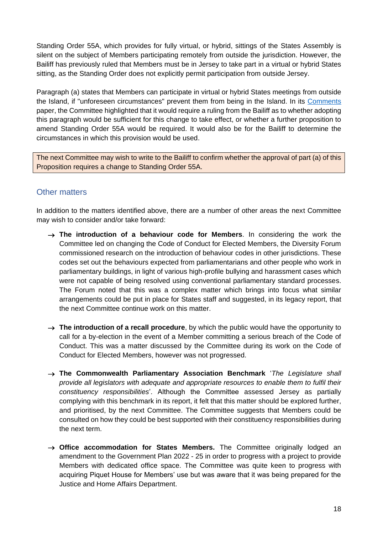Standing Order 55A, which provides for fully virtual, or hybrid, sittings of the States Assembly is silent on the subject of Members participating remotely from outside the jurisdiction. However, the Bailiff has previously ruled that Members must be in Jersey to take part in a virtual or hybrid States sitting, as the Standing Order does not explicitly permit participation from outside Jersey.

Paragraph (a) states that Members can participate in virtual or hybrid States meetings from outside the Island, if "unforeseen circumstances" prevent them from being in the Island. In its [Comments](https://statesassembly.gov.je/assemblypropositions/2022/p.63-2022%20com.pdf) paper, the Committee highlighted that it would require a ruling from the Bailiff as to whether adopting this paragraph would be sufficient for this change to take effect, or whether a further proposition to amend Standing Order 55A would be required. It would also be for the Bailiff to determine the circumstances in which this provision would be used.

The next Committee may wish to write to the Bailiff to confirm whether the approval of part (a) of this Proposition requires a change to Standing Order 55A.

#### <span id="page-17-0"></span>Other matters

In addition to the matters identified above, there are a number of other areas the next Committee may wish to consider and/or take forward:

- → **The introduction of a behaviour code for Members**. In considering the work the Committee led on changing the Code of Conduct for Elected Members, the Diversity Forum commissioned research on the introduction of behaviour codes in other jurisdictions. These codes set out the behaviours expected from parliamentarians and other people who work in parliamentary buildings, in light of various high-profile bullying and harassment cases which were not capable of being resolved using conventional parliamentary standard processes. The Forum noted that this was a complex matter which brings into focus what similar arrangements could be put in place for States staff and suggested, in its legacy report, that the next Committee continue work on this matter.
- → **The introduction of a recall procedure**, by which the public would have the opportunity to call for a by-election in the event of a Member committing a serious breach of the Code of Conduct. This was a matter discussed by the Committee during its work on the Code of Conduct for Elected Members, however was not progressed.
- → **The Commonwealth Parliamentary Association Benchmark** '*The Legislature shall provide all legislators with adequate and appropriate resources to enable them to fulfil their constituency responsibilities*'. Although the Committee assessed Jersey as partially complying with this benchmark in its report, it felt that this matter should be explored further, and prioritised, by the next Committee. The Committee suggests that Members could be consulted on how they could be best supported with their constituency responsibilities during the next term.
- → **Office accommodation for States Members.** The Committee originally lodged an amendment to the Government Plan 2022 - 25 in order to progress with a project to provide Members with dedicated office space. The Committee was quite keen to progress with acquiring Piquet House for Members' use but was aware that it was being prepared for the Justice and Home Affairs Department.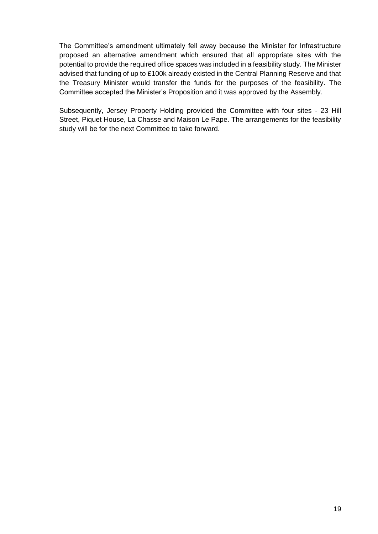The Committee's amendment ultimately fell away because the Minister for Infrastructure proposed an alternative amendment which ensured that all appropriate sites with the potential to provide the required office spaces was included in a feasibility study. The Minister advised that funding of up to £100k already existed in the Central Planning Reserve and that the Treasury Minister would transfer the funds for the purposes of the feasibility. The Committee accepted the Minister's Proposition and it was approved by the Assembly.

Subsequently, Jersey Property Holding provided the Committee with four sites - 23 Hill Street, Piquet House, La Chasse and Maison Le Pape. The arrangements for the feasibility study will be for the next Committee to take forward.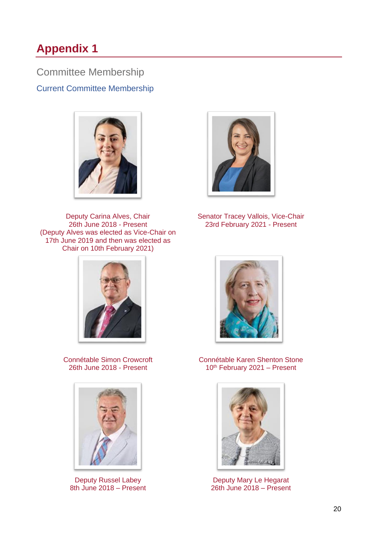## <span id="page-19-0"></span>**Appendix 1**

<span id="page-19-1"></span>Committee Membership Current Committee Membership



Deputy Carina Alves, Chair 26th June 2018 - Present (Deputy Alves was elected as Vice-Chair on 17th June 2019 and then was elected as Chair on 10th February 2021)



Senator Tracey Vallois, Vice-Chair 23rd February 2021 - Present



Connétable Simon Crowcroft 26th June 2018 - Present



Deputy Russel Labey 8th June 2018 – Present



Connétable Karen Shenton Stone 10<sup>th</sup> February 2021 - Present



Deputy Mary Le Hegarat 26th June 2018 – Present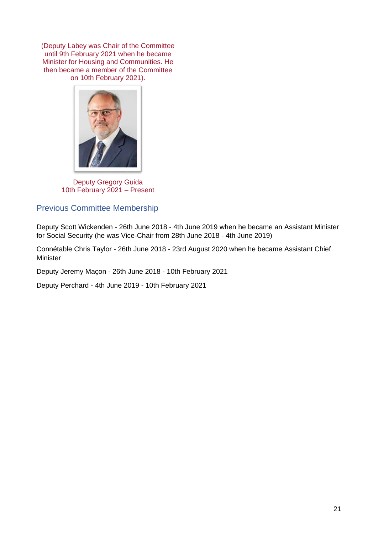(Deputy Labey was Chair of the Committee until 9th February 2021 when he became Minister for Housing and Communities. He then became a member of the Committee on 10th February 2021).



Deputy Gregory Guida 10th February 2021 – Present

#### <span id="page-20-0"></span>Previous Committee Membership

Deputy Scott Wickenden - 26th June 2018 - 4th June 2019 when he became an Assistant Minister for Social Security (he was Vice-Chair from 28th June 2018 - 4th June 2019)

Connétable Chris Taylor - 26th June 2018 - 23rd August 2020 when he became Assistant Chief Minister

Deputy Jeremy Maçon - 26th June 2018 - 10th February 2021

Deputy Perchard - 4th June 2019 - 10th February 2021